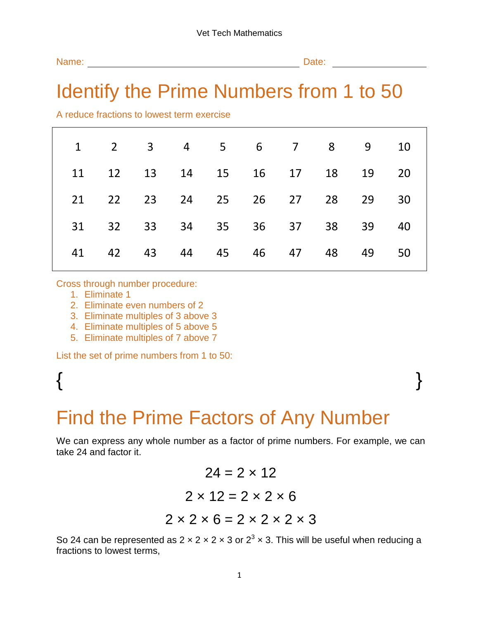| Name: | Date: |
|-------|-------|
|       |       |

### Identify the Prime Numbers from 1 to 50

A reduce fractions to lowest term exercise

|    |       |    |       |          | 1 2 3 4 5 6 7 8 9       |    |       | 10 |
|----|-------|----|-------|----------|-------------------------|----|-------|----|
| 11 |       |    |       |          | 12 13 14 15 16 17 18 19 |    |       | 20 |
| 21 | 22    |    |       |          | 23 24 25 26 27          |    | 28 29 | 30 |
| 31 | 32    | 33 | 34 35 | 36       | 37                      |    | 38 39 | 40 |
|    | 41 42 | 43 |       | 44 45 46 | 47                      | 48 | 49    | 50 |
|    |       |    |       |          |                         |    |       |    |

Cross through number procedure:

- 1. Eliminate 1
- 2. Eliminate even numbers of 2
- 3. Eliminate multiples of 3 above 3
- 4. Eliminate multiples of 5 above 5
- 5. Eliminate multiples of 7 above 7

List the set of prime numbers from 1 to 50:

# $\{$   $\}$

## Find the Prime Factors of Any Number

We can express any whole number as a factor of prime numbers. For example, we can take 24 and factor it.

> $24 = 2 \times 12$  $2 \times 12 = 2 \times 2 \times 6$  $2 \times 2 \times 6 = 2 \times 2 \times 2 \times 3$

So 24 can be represented as 2  $\times$  2  $\times$  2  $\times$  3 or 2<sup>3</sup>  $\times$  3. This will be useful when reducing a fractions to lowest terms,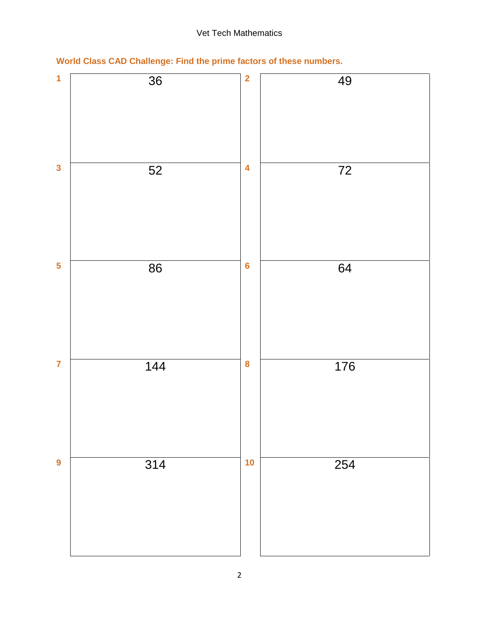#### Vet Tech Mathematics

**World Class CAD Challenge: Find the prime factors of these numbers.**

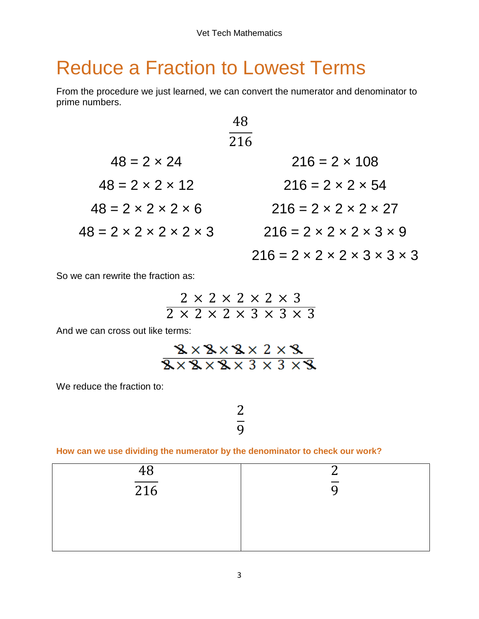### Reduce a Fraction to Lowest Terms

From the procedure we just learned, we can convert the numerator and denominator to prime numbers.

|                                              | 216                                                    |
|----------------------------------------------|--------------------------------------------------------|
| $48 = 2 \times 24$                           | $216 = 2 \times 108$                                   |
| $48 = 2 \times 2 \times 12$                  | $216 = 2 \times 2 \times 54$                           |
| $48 = 2 \times 2 \times 2 \times 6$          | $216 = 2 \times 2 \times 2 \times 27$                  |
| $48 = 2 \times 2 \times 2 \times 2 \times 3$ | $216 = 2 \times 2 \times 2 \times 3 \times 9$          |
|                                              | $216 = 2 \times 2 \times 2 \times 3 \times 3 \times 3$ |

So we can rewrite the fraction as:

$$
\frac{2 \times 2 \times 2 \times 2 \times 3}{2 \times 2 \times 2 \times 3 \times 3 \times 3}
$$

And we can cross out like terms:

$$
\frac{3 \times 3 \times 2 \times 2 \times 3}{3 \times 3 \times 3 \times 3 \times 3 \times 3}
$$

We reduce the fraction to:

### $\overline{c}$ 9

#### **How can we use dividing the numerator by the denominator to check our work?**

| $\frac{48}{216}$ | ⌒ |
|------------------|---|
|                  |   |
|                  |   |
|                  |   |